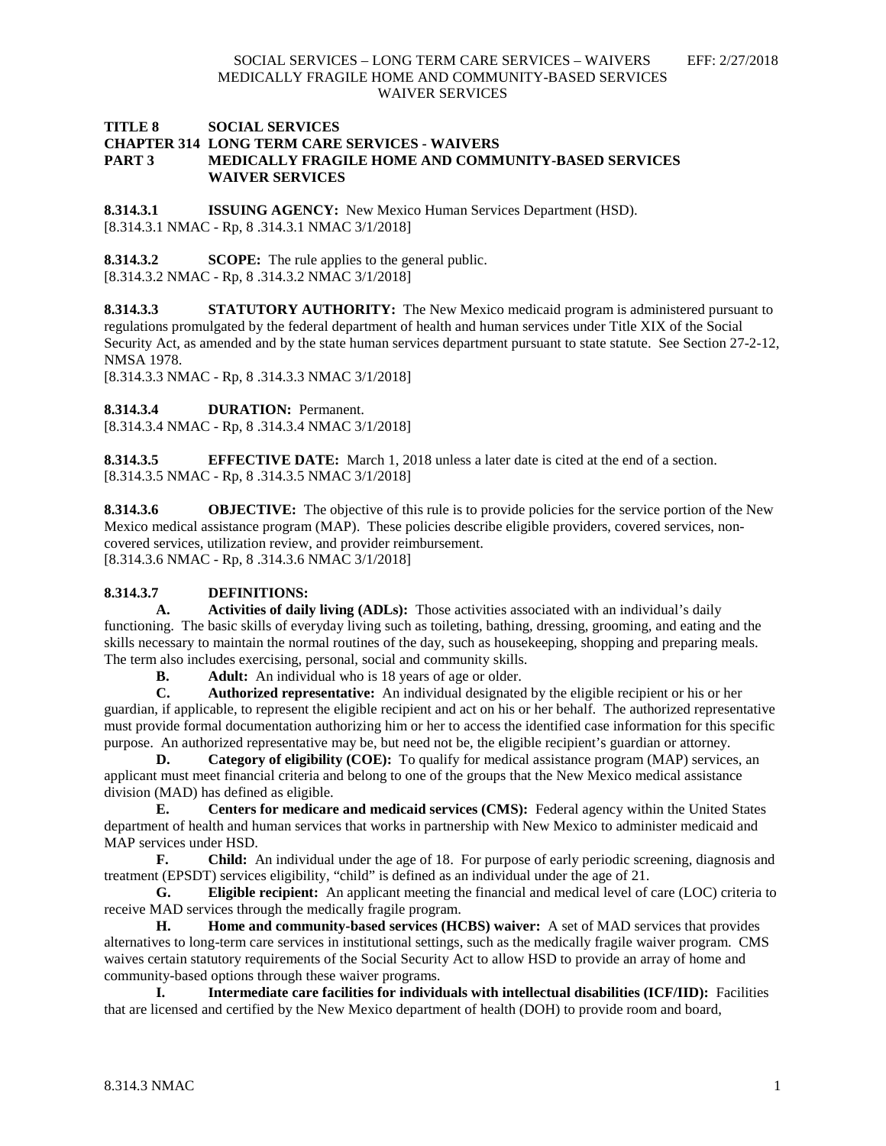## **TITLE 8 SOCIAL SERVICES CHAPTER 314 LONG TERM CARE SERVICES - WAIVERS PART 3 MEDICALLY FRAGILE HOME AND COMMUNITY-BASED SERVICES WAIVER SERVICES**

**8.314.3.1 ISSUING AGENCY:** New Mexico Human Services Department (HSD). [8.314.3.1 NMAC - Rp, 8 .314.3.1 NMAC 3/1/2018]

**8.314.3.2 SCOPE:** The rule applies to the general public. [8.314.3.2 NMAC - Rp, 8 .314.3.2 NMAC 3/1/2018]

**8.314.3.3 STATUTORY AUTHORITY:** The New Mexico medicaid program is administered pursuant to regulations promulgated by the federal department of health and human services under Title XIX of the Social Security Act, as amended and by the state human services department pursuant to state statute. See Section 27-2-12, NMSA 1978.

[8.314.3.3 NMAC - Rp, 8 .314.3.3 NMAC 3/1/2018]

**8.314.3.4 DURATION:** Permanent.

[8.314.3.4 NMAC - Rp, 8 .314.3.4 NMAC 3/1/2018]

**8.314.3.5 EFFECTIVE DATE:** March 1, 2018 unless a later date is cited at the end of a section. [8.314.3.5 NMAC - Rp, 8 .314.3.5 NMAC 3/1/2018]

**8.314.3.6 OBJECTIVE:** The objective of this rule is to provide policies for the service portion of the New Mexico medical assistance program (MAP). These policies describe eligible providers, covered services, noncovered services, utilization review, and provider reimbursement. [8.314.3.6 NMAC - Rp, 8 .314.3.6 NMAC 3/1/2018]

# **8.314.3.7 DEFINITIONS:**

**A. Activities of daily living (ADLs):** Those activities associated with an individual's daily functioning. The basic skills of everyday living such as toileting, bathing, dressing, grooming, and eating and the skills necessary to maintain the normal routines of the day, such as housekeeping, shopping and preparing meals. The term also includes exercising, personal, social and community skills.

**B. Adult:** An individual who is 18 years of age or older.

**C. Authorized representative:** An individual designated by the eligible recipient or his or her guardian, if applicable, to represent the eligible recipient and act on his or her behalf. The authorized representative must provide formal documentation authorizing him or her to access the identified case information for this specific purpose. An authorized representative may be, but need not be, the eligible recipient's guardian or attorney.

**D. Category of eligibility (COE):** To qualify for medical assistance program (MAP) services, an applicant must meet financial criteria and belong to one of the groups that the New Mexico medical assistance division (MAD) has defined as eligible.

**E. Centers for medicare and medicaid services (CMS):** Federal agency within the United States department of health and human services that works in partnership with New Mexico to administer medicaid and MAP services under HSD.

**F. Child:** An individual under the age of 18. For purpose of early periodic screening, diagnosis and treatment (EPSDT) services eligibility, "child" is defined as an individual under the age of 21.

**G. Eligible recipient:** An applicant meeting the financial and medical level of care (LOC) criteria to receive MAD services through the medically fragile program.

**H. Home and community-based services (HCBS) waiver:** A set of MAD services that provides alternatives to long-term care services in institutional settings, such as the medically fragile waiver program. CMS waives certain statutory requirements of the Social Security Act to allow HSD to provide an array of home and community-based options through these waiver programs.

**I. Intermediate care facilities for individuals with intellectual disabilities (ICF/IID):** Facilities that are licensed and certified by the New Mexico department of health (DOH) to provide room and board,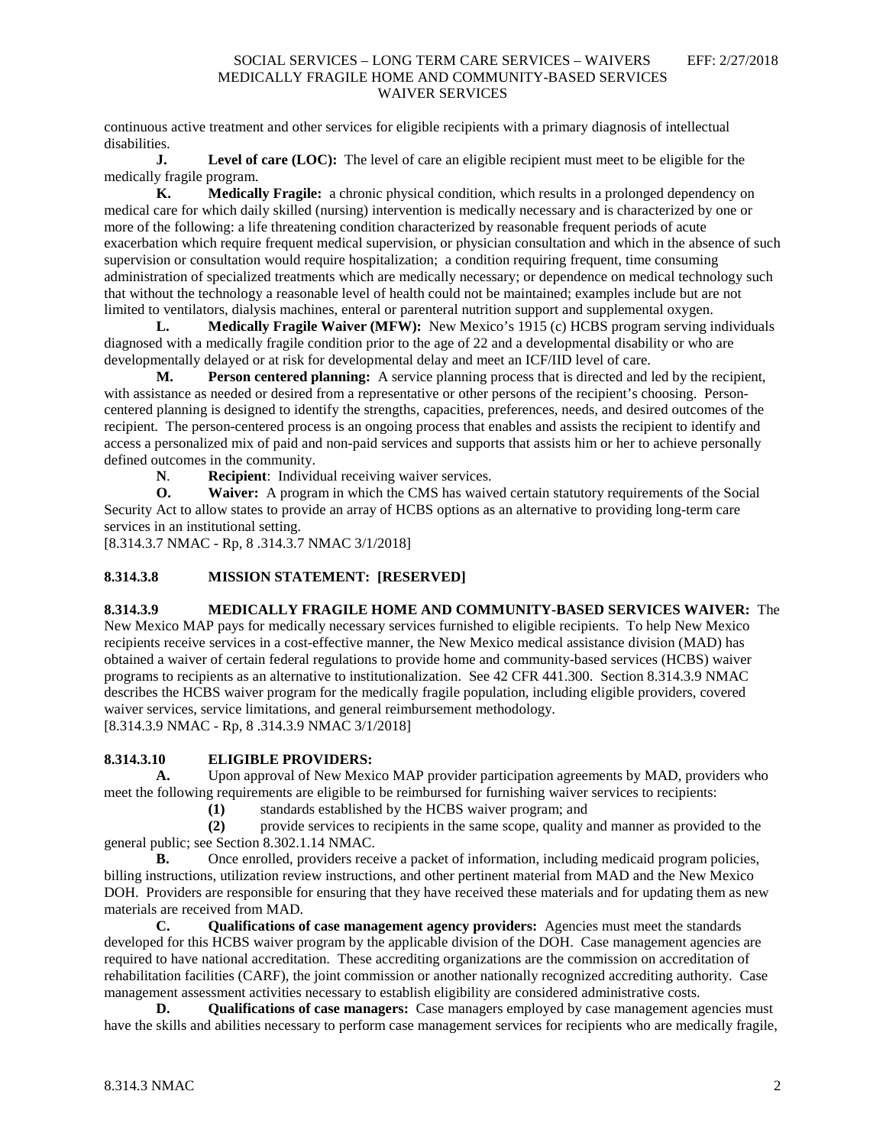continuous active treatment and other services for eligible recipients with a primary diagnosis of intellectual disabilities.

**J. Level of care (LOC):** The level of care an eligible recipient must meet to be eligible for the medically fragile program.

**K. Medically Fragile:** a chronic physical condition, which results in a prolonged dependency on medical care for which daily skilled (nursing) intervention is medically necessary and is characterized by one or more of the following: a life threatening condition characterized by reasonable frequent periods of acute exacerbation which require frequent medical supervision, or physician consultation and which in the absence of such supervision or consultation would require hospitalization; a condition requiring frequent, time consuming administration of specialized treatments which are medically necessary; or dependence on medical technology such that without the technology a reasonable level of health could not be maintained; examples include but are not limited to ventilators, dialysis machines, enteral or parenteral nutrition support and supplemental oxygen.

**L. Medically Fragile Waiver (MFW):** New Mexico's 1915 (c) HCBS program serving individuals diagnosed with a medically fragile condition prior to the age of 22 and a developmental disability or who are developmentally delayed or at risk for developmental delay and meet an ICF/IID level of care.

**M. Person centered planning:** A service planning process that is directed and led by the recipient, with assistance as needed or desired from a representative or other persons of the recipient's choosing. Personcentered planning is designed to identify the strengths, capacities, preferences, needs, and desired outcomes of the recipient. The person-centered process is an ongoing process that enables and assists the recipient to identify and access a personalized mix of paid and non-paid services and supports that assists him or her to achieve personally defined outcomes in the community.<br> $N.$  **Recipient:** Individently:

**Recipient**: Individual receiving waiver services.

**O. Waiver:** A program in which the CMS has waived certain statutory requirements of the Social Security Act to allow states to provide an array of HCBS options as an alternative to providing long-term care services in an institutional setting.

[8.314.3.7 NMAC - Rp, 8 .314.3.7 NMAC 3/1/2018]

# **8.314.3.8 MISSION STATEMENT: [RESERVED]**

## **8.314.3.9 MEDICALLY FRAGILE HOME AND COMMUNITY-BASED SERVICES WAIVER:** The

New Mexico MAP pays for medically necessary services furnished to eligible recipients. To help New Mexico recipients receive services in a cost-effective manner, the New Mexico medical assistance division (MAD) has obtained a waiver of certain federal regulations to provide home and community-based services (HCBS) waiver programs to recipients as an alternative to institutionalization. See 42 CFR 441.300. Section 8.314.3.9 NMAC describes the HCBS waiver program for the medically fragile population, including eligible providers, covered waiver services, service limitations, and general reimbursement methodology. [8.314.3.9 NMAC - Rp, 8 .314.3.9 NMAC 3/1/2018]

## **8.314.3.10 ELIGIBLE PROVIDERS:**

**A.** Upon approval of New Mexico MAP provider participation agreements by MAD, providers who meet the following requirements are eligible to be reimbursed for furnishing waiver services to recipients:

**(1)** standards established by the HCBS waiver program; and

**(2)** provide services to recipients in the same scope, quality and manner as provided to the general public; see Section 8.302.1.14 NMAC.

**B.** Once enrolled, providers receive a packet of information, including medicaid program policies, billing instructions, utilization review instructions, and other pertinent material from MAD and the New Mexico DOH. Providers are responsible for ensuring that they have received these materials and for updating them as new materials are received from MAD.

**C. Qualifications of case management agency providers:** Agencies must meet the standards developed for this HCBS waiver program by the applicable division of the DOH. Case management agencies are required to have national accreditation. These accrediting organizations are the commission on accreditation of rehabilitation facilities (CARF), the joint commission or another nationally recognized accrediting authority. Case management assessment activities necessary to establish eligibility are considered administrative costs.

**D. Qualifications of case managers:** Case managers employed by case management agencies must have the skills and abilities necessary to perform case management services for recipients who are medically fragile,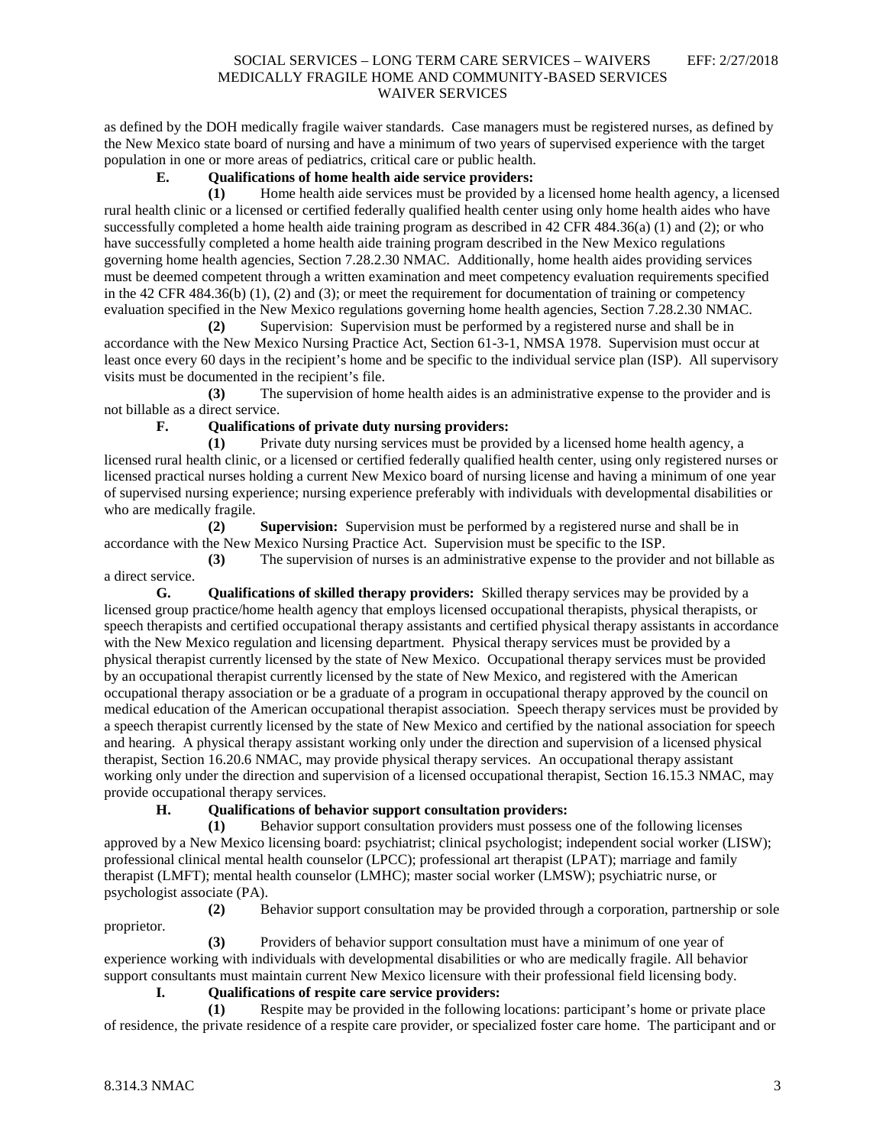as defined by the DOH medically fragile waiver standards. Case managers must be registered nurses, as defined by the New Mexico state board of nursing and have a minimum of two years of supervised experience with the target population in one or more areas of pediatrics, critical care or public health.

# **E. Qualifications of home health aide service providers:**

**(1)** Home health aide services must be provided by a licensed home health agency, a licensed rural health clinic or a licensed or certified federally qualified health center using only home health aides who have successfully completed a home health aide training program as described in 42 CFR 484.36(a) (1) and (2); or who have successfully completed a home health aide training program described in the New Mexico regulations governing home health agencies, Section 7.28.2.30 NMAC. Additionally, home health aides providing services must be deemed competent through a written examination and meet competency evaluation requirements specified in the 42 CFR 484.36(b) (1), (2) and (3); or meet the requirement for documentation of training or competency evaluation specified in the New Mexico regulations governing home health agencies, Section 7.28.2.30 NMAC.

**(2)** Supervision: Supervision must be performed by a registered nurse and shall be in accordance with the New Mexico Nursing Practice Act, Section 61-3-1, NMSA 1978. Supervision must occur at least once every 60 days in the recipient's home and be specific to the individual service plan (ISP). All supervisory visits must be documented in the recipient's file.

**(3)** The supervision of home health aides is an administrative expense to the provider and is not billable as a direct service.

#### **F. Qualifications of private duty nursing providers:**

**(1)** Private duty nursing services must be provided by a licensed home health agency, a licensed rural health clinic, or a licensed or certified federally qualified health center, using only registered nurses or licensed practical nurses holding a current New Mexico board of nursing license and having a minimum of one year of supervised nursing experience; nursing experience preferably with individuals with developmental disabilities or who are medically fragile.

**(2) Supervision:** Supervision must be performed by a registered nurse and shall be in accordance with the New Mexico Nursing Practice Act. Supervision must be specific to the ISP.

**(3)** The supervision of nurses is an administrative expense to the provider and not billable as a direct service.

**G. Qualifications of skilled therapy providers:** Skilled therapy services may be provided by a licensed group practice/home health agency that employs licensed occupational therapists, physical therapists, or speech therapists and certified occupational therapy assistants and certified physical therapy assistants in accordance with the New Mexico regulation and licensing department. Physical therapy services must be provided by a physical therapist currently licensed by the state of New Mexico. Occupational therapy services must be provided by an occupational therapist currently licensed by the state of New Mexico, and registered with the American occupational therapy association or be a graduate of a program in occupational therapy approved by the council on medical education of the American occupational therapist association. Speech therapy services must be provided by a speech therapist currently licensed by the state of New Mexico and certified by the national association for speech and hearing. A physical therapy assistant working only under the direction and supervision of a licensed physical therapist, Section 16.20.6 NMAC, may provide physical therapy services. An occupational therapy assistant working only under the direction and supervision of a licensed occupational therapist, Section 16.15.3 NMAC, may provide occupational therapy services.

## **H. Qualifications of behavior support consultation providers:**

**(1)** Behavior support consultation providers must possess one of the following licenses approved by a New Mexico licensing board: psychiatrist; clinical psychologist; independent social worker (LISW); professional clinical mental health counselor (LPCC); professional art therapist (LPAT); marriage and family therapist (LMFT); mental health counselor (LMHC); master social worker (LMSW); psychiatric nurse, or psychologist associate (PA).

**(2)** Behavior support consultation may be provided through a corporation, partnership or sole proprietor.

**(3)** Providers of behavior support consultation must have a minimum of one year of experience working with individuals with developmental disabilities or who are medically fragile. All behavior support consultants must maintain current New Mexico licensure with their professional field licensing body.

# **I. Qualifications of respite care service providers:**

**(1)** Respite may be provided in the following locations: participant's home or private place of residence, the private residence of a respite care provider, or specialized foster care home. The participant and or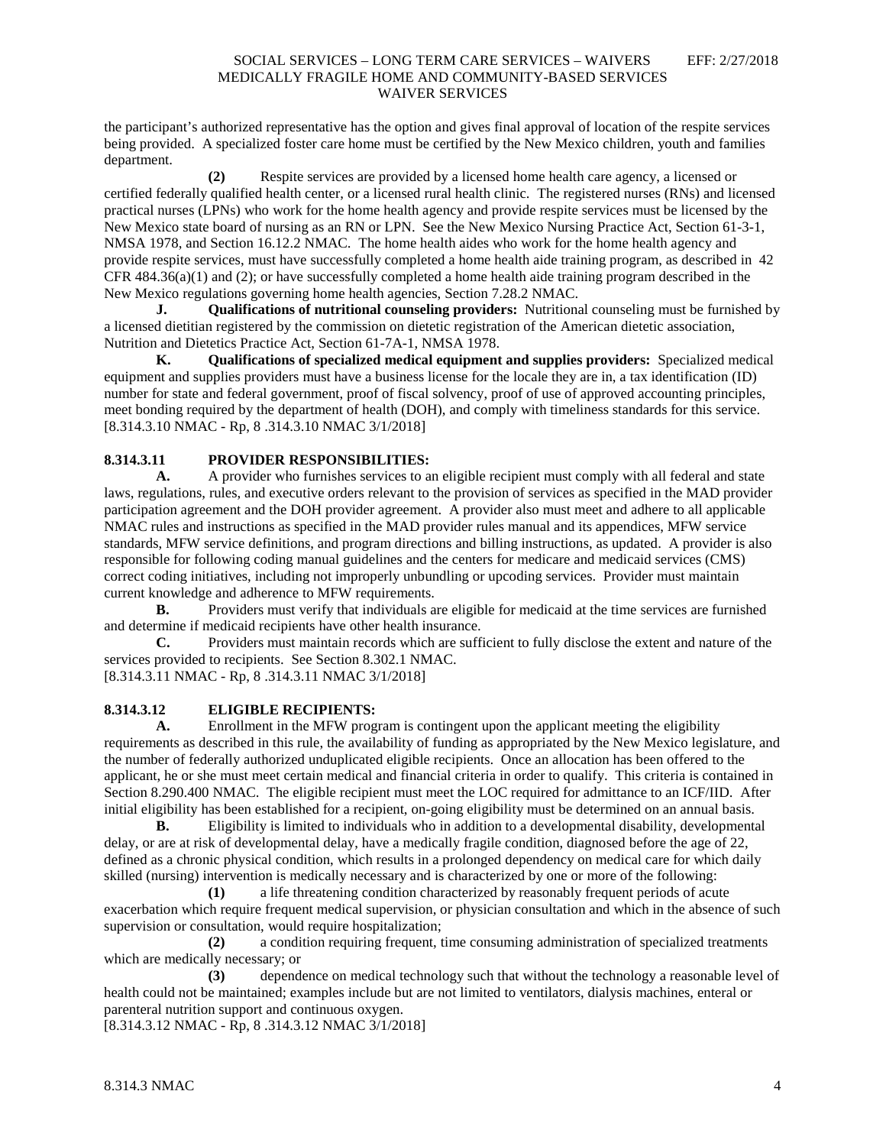the participant's authorized representative has the option and gives final approval of location of the respite services being provided. A specialized foster care home must be certified by the New Mexico children, youth and families department.

**(2)** Respite services are provided by a licensed home health care agency, a licensed or certified federally qualified health center, or a licensed rural health clinic. The registered nurses (RNs) and licensed practical nurses (LPNs) who work for the home health agency and provide respite services must be licensed by the New Mexico state board of nursing as an RN or LPN. See the New Mexico Nursing Practice Act, Section 61-3-1, NMSA 1978, and Section 16.12.2 NMAC. The home health aides who work for the home health agency and provide respite services, must have successfully completed a home health aide training program, as described in 42 CFR 484.36(a)(1) and (2); or have successfully completed a home health aide training program described in the New Mexico regulations governing home health agencies, Section 7.28.2 NMAC.

**J. Qualifications of nutritional counseling providers:** Nutritional counseling must be furnished by a licensed dietitian registered by the commission on dietetic registration of the American dietetic association, Nutrition and Dietetics Practice Act, Section 61-7A-1, NMSA 1978.

**K. Qualifications of specialized medical equipment and supplies providers:** Specialized medical equipment and supplies providers must have a business license for the locale they are in, a tax identification (ID) number for state and federal government, proof of fiscal solvency, proof of use of approved accounting principles, meet bonding required by the department of health (DOH), and comply with timeliness standards for this service. [8.314.3.10 NMAC - Rp, 8 .314.3.10 NMAC 3/1/2018]

## **8.314.3.11 PROVIDER RESPONSIBILITIES:**

A. A provider who furnishes services to an eligible recipient must comply with all federal and state laws, regulations, rules, and executive orders relevant to the provision of services as specified in the MAD provider participation agreement and the DOH provider agreement. A provider also must meet and adhere to all applicable NMAC rules and instructions as specified in the MAD provider rules manual and its appendices, MFW service standards, MFW service definitions, and program directions and billing instructions, as updated. A provider is also responsible for following coding manual guidelines and the centers for medicare and medicaid services (CMS) correct coding initiatives, including not improperly unbundling or upcoding services. Provider must maintain current knowledge and adherence to MFW requirements.

**B.** Providers must verify that individuals are eligible for medicaid at the time services are furnished and determine if medicaid recipients have other health insurance.

**C.** Providers must maintain records which are sufficient to fully disclose the extent and nature of the services provided to recipients. See Section 8.302.1 NMAC.

[8.314.3.11 NMAC - Rp, 8 .314.3.11 NMAC 3/1/2018]

## **8.314.3.12 ELIGIBLE RECIPIENTS:**

**A.** Enrollment in the MFW program is contingent upon the applicant meeting the eligibility requirements as described in this rule, the availability of funding as appropriated by the New Mexico legislature, and the number of federally authorized unduplicated eligible recipients. Once an allocation has been offered to the applicant, he or she must meet certain medical and financial criteria in order to qualify. This criteria is contained in Section 8.290.400 NMAC. The eligible recipient must meet the LOC required for admittance to an ICF/IID. After initial eligibility has been established for a recipient, on-going eligibility must be determined on an annual basis.

**B.** Eligibility is limited to individuals who in addition to a developmental disability, developmental delay, or are at risk of developmental delay, have a medically fragile condition, diagnosed before the age of 22, defined as a chronic physical condition, which results in a prolonged dependency on medical care for which daily skilled (nursing) intervention is medically necessary and is characterized by one or more of the following:

**(1)** a life threatening condition characterized by reasonably frequent periods of acute exacerbation which require frequent medical supervision, or physician consultation and which in the absence of such supervision or consultation, would require hospitalization;

**(2)** a condition requiring frequent, time consuming administration of specialized treatments which are medically necessary; or

**(3)** dependence on medical technology such that without the technology a reasonable level of health could not be maintained; examples include but are not limited to ventilators, dialysis machines, enteral or parenteral nutrition support and continuous oxygen.

[8.314.3.12 NMAC - Rp, 8 .314.3.12 NMAC 3/1/2018]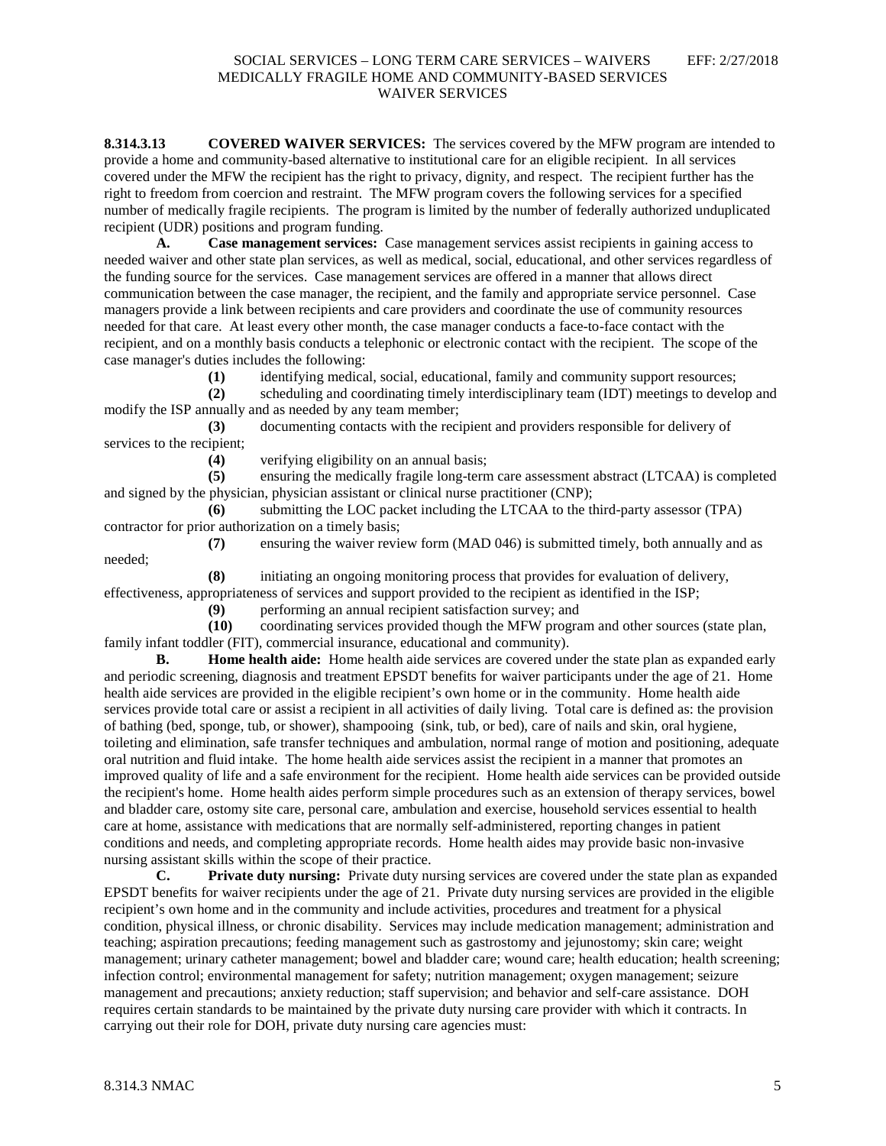**8.314.3.13 COVERED WAIVER SERVICES:** The services covered by the MFW program are intended to provide a home and community-based alternative to institutional care for an eligible recipient. In all services covered under the MFW the recipient has the right to privacy, dignity, and respect. The recipient further has the right to freedom from coercion and restraint. The MFW program covers the following services for a specified number of medically fragile recipients. The program is limited by the number of federally authorized unduplicated recipient (UDR) positions and program funding.

**A. Case management services:** Case management services assist recipients in gaining access to needed waiver and other state plan services, as well as medical, social, educational, and other services regardless of the funding source for the services. Case management services are offered in a manner that allows direct communication between the case manager, the recipient, and the family and appropriate service personnel. Case managers provide a link between recipients and care providers and coordinate the use of community resources needed for that care. At least every other month, the case manager conducts a face-to-face contact with the recipient, and on a monthly basis conducts a telephonic or electronic contact with the recipient. The scope of the case manager's duties includes the following:

**(1)** identifying medical, social, educational, family and community support resources;

**(2)** scheduling and coordinating timely interdisciplinary team (IDT) meetings to develop and modify the ISP annually and as needed by any team member;

**(3)** documenting contacts with the recipient and providers responsible for delivery of services to the recipient;

(4) verifying eligibility on an annual basis;<br>(5) ensuring the medically fragile long-tern

**(5)** ensuring the medically fragile long-term care assessment abstract (LTCAA) is completed and signed by the physician, physician assistant or clinical nurse practitioner (CNP);

**(6)** submitting the LOC packet including the LTCAA to the third-party assessor (TPA) contractor for prior authorization on a timely basis;

**(7)** ensuring the waiver review form (MAD 046) is submitted timely, both annually and as needed;

**(8)** initiating an ongoing monitoring process that provides for evaluation of delivery, effectiveness, appropriateness of services and support provided to the recipient as identified in the ISP;

**(9)** performing an annual recipient satisfaction survey; and

**(10)** coordinating services provided though the MFW program and other sources (state plan, family infant toddler (FIT), commercial insurance, educational and community).

**B. Home health aide:** Home health aide services are covered under the state plan as expanded early and periodic screening, diagnosis and treatment EPSDT benefits for waiver participants under the age of 21. Home health aide services are provided in the eligible recipient's own home or in the community. Home health aide services provide total care or assist a recipient in all activities of daily living. Total care is defined as: the provision of bathing (bed, sponge, tub, or shower), shampooing (sink, tub, or bed), care of nails and skin, oral hygiene, toileting and elimination, safe transfer techniques and ambulation, normal range of motion and positioning, adequate oral nutrition and fluid intake. The home health aide services assist the recipient in a manner that promotes an improved quality of life and a safe environment for the recipient. Home health aide services can be provided outside the recipient's home. Home health aides perform simple procedures such as an extension of therapy services, bowel and bladder care, ostomy site care, personal care, ambulation and exercise, household services essential to health care at home, assistance with medications that are normally self-administered, reporting changes in patient conditions and needs, and completing appropriate records. Home health aides may provide basic non-invasive nursing assistant skills within the scope of their practice.

**C. Private duty nursing:** Private duty nursing services are covered under the state plan as expanded EPSDT benefits for waiver recipients under the age of 21. Private duty nursing services are provided in the eligible recipient's own home and in the community and include activities, procedures and treatment for a physical condition, physical illness, or chronic disability. Services may include medication management; administration and teaching; aspiration precautions; feeding management such as gastrostomy and jejunostomy; skin care; weight management; urinary catheter management; bowel and bladder care; wound care; health education; health screening; infection control; environmental management for safety; nutrition management; oxygen management; seizure management and precautions; anxiety reduction; staff supervision; and behavior and self-care assistance. DOH requires certain standards to be maintained by the private duty nursing care provider with which it contracts. In carrying out their role for DOH, private duty nursing care agencies must: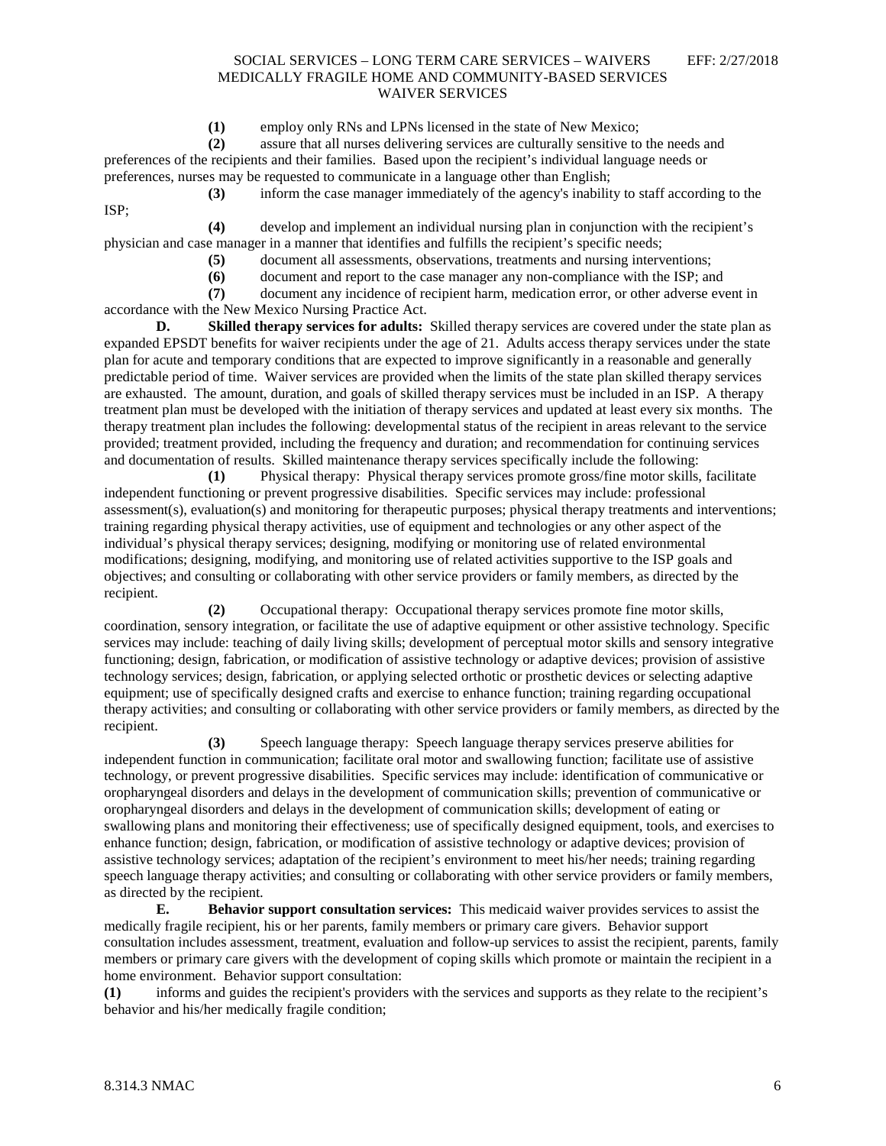**(1)** employ only RNs and LPNs licensed in the state of New Mexico;

**(2)** assure that all nurses delivering services are culturally sensitive to the needs and preferences of the recipients and their families. Based upon the recipient's individual language needs or preferences, nurses may be requested to communicate in a language other than English;

**(3)** inform the case manager immediately of the agency's inability to staff according to the

ISP;

**(4)** develop and implement an individual nursing plan in conjunction with the recipient's physician and case manager in a manner that identifies and fulfills the recipient's specific needs;

- **(5)** document all assessments, observations, treatments and nursing interventions;
- **(6)** document and report to the case manager any non-compliance with the ISP; and

**(7)** document any incidence of recipient harm, medication error, or other adverse event in accordance with the New Mexico Nursing Practice Act.

**D. Skilled therapy services for adults:** Skilled therapy services are covered under the state plan as expanded EPSDT benefits for waiver recipients under the age of 21. Adults access therapy services under the state plan for acute and temporary conditions that are expected to improve significantly in a reasonable and generally predictable period of time. Waiver services are provided when the limits of the state plan skilled therapy services are exhausted. The amount, duration, and goals of skilled therapy services must be included in an ISP. A therapy treatment plan must be developed with the initiation of therapy services and updated at least every six months. The therapy treatment plan includes the following: developmental status of the recipient in areas relevant to the service provided; treatment provided, including the frequency and duration; and recommendation for continuing services and documentation of results. Skilled maintenance therapy services specifically include the following:

**(1)** Physical therapy: Physical therapy services promote gross/fine motor skills, facilitate independent functioning or prevent progressive disabilities. Specific services may include: professional assessment(s), evaluation(s) and monitoring for therapeutic purposes; physical therapy treatments and interventions; training regarding physical therapy activities, use of equipment and technologies or any other aspect of the individual's physical therapy services; designing, modifying or monitoring use of related environmental modifications; designing, modifying, and monitoring use of related activities supportive to the ISP goals and objectives; and consulting or collaborating with other service providers or family members, as directed by the recipient.

**(2)** Occupational therapy: Occupational therapy services promote fine motor skills, coordination, sensory integration, or facilitate the use of adaptive equipment or other assistive technology. Specific services may include: teaching of daily living skills; development of perceptual motor skills and sensory integrative functioning; design, fabrication, or modification of assistive technology or adaptive devices; provision of assistive technology services; design, fabrication, or applying selected orthotic or prosthetic devices or selecting adaptive equipment; use of specifically designed crafts and exercise to enhance function; training regarding occupational therapy activities; and consulting or collaborating with other service providers or family members, as directed by the recipient.

**(3)** Speech language therapy: Speech language therapy services preserve abilities for independent function in communication; facilitate oral motor and swallowing function; facilitate use of assistive technology, or prevent progressive disabilities. Specific services may include: identification of communicative or oropharyngeal disorders and delays in the development of communication skills; prevention of communicative or oropharyngeal disorders and delays in the development of communication skills; development of eating or swallowing plans and monitoring their effectiveness; use of specifically designed equipment, tools, and exercises to enhance function; design, fabrication, or modification of assistive technology or adaptive devices; provision of assistive technology services; adaptation of the recipient's environment to meet his/her needs; training regarding speech language therapy activities; and consulting or collaborating with other service providers or family members, as directed by the recipient.

**E. Behavior support consultation services:** This medicaid waiver provides services to assist the medically fragile recipient, his or her parents, family members or primary care givers. Behavior support consultation includes assessment, treatment, evaluation and follow-up services to assist the recipient, parents, family members or primary care givers with the development of coping skills which promote or maintain the recipient in a home environment. Behavior support consultation:

**(1)** informs and guides the recipient's providers with the services and supports as they relate to the recipient's behavior and his/her medically fragile condition;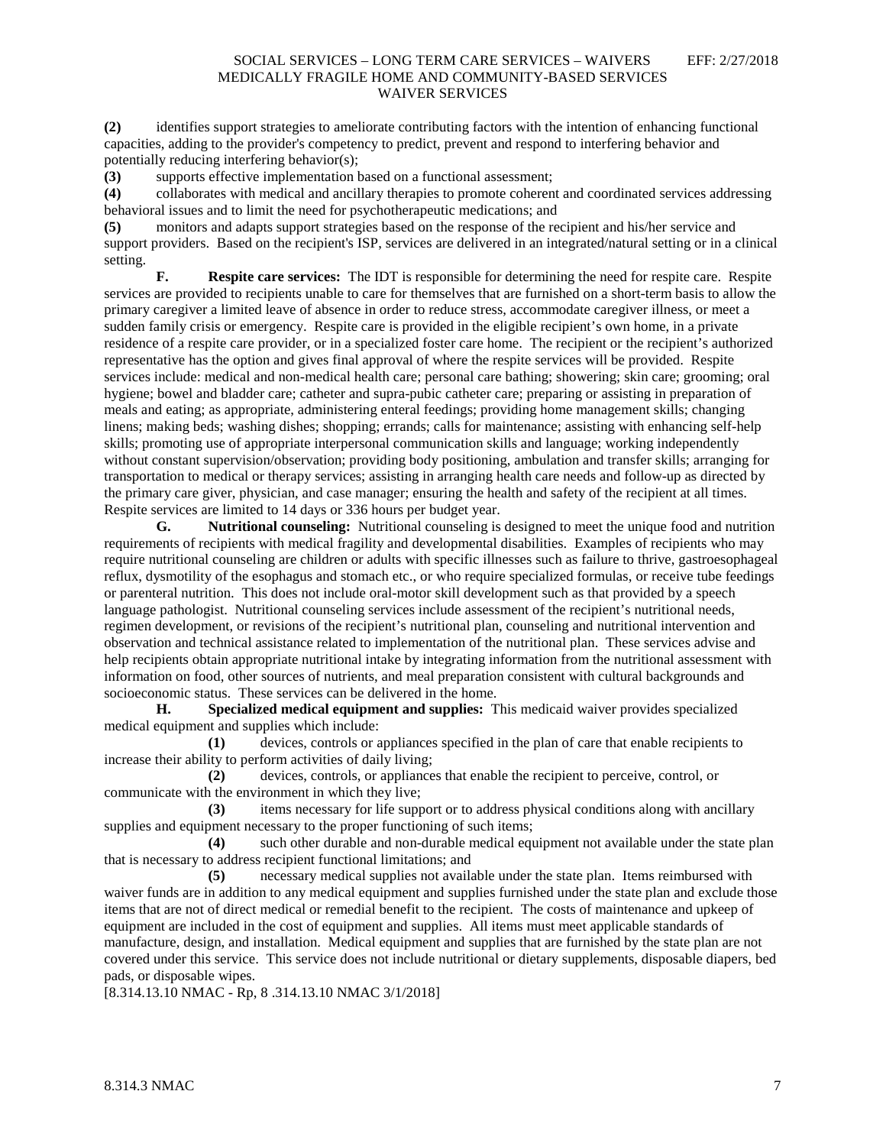**(2)** identifies support strategies to ameliorate contributing factors with the intention of enhancing functional capacities, adding to the provider's competency to predict, prevent and respond to interfering behavior and potentially reducing interfering behavior(s);

**(3)** supports effective implementation based on a functional assessment;

**(4)** collaborates with medical and ancillary therapies to promote coherent and coordinated services addressing behavioral issues and to limit the need for psychotherapeutic medications; and

**(5)** monitors and adapts support strategies based on the response of the recipient and his/her service and support providers. Based on the recipient's ISP, services are delivered in an integrated/natural setting or in a clinical setting.

**F. Respite care services:** The IDT is responsible for determining the need for respite care. Respite services are provided to recipients unable to care for themselves that are furnished on a short-term basis to allow the primary caregiver a limited leave of absence in order to reduce stress, accommodate caregiver illness, or meet a sudden family crisis or emergency. Respite care is provided in the eligible recipient's own home, in a private residence of a respite care provider, or in a specialized foster care home. The recipient or the recipient's authorized representative has the option and gives final approval of where the respite services will be provided. Respite services include: medical and non-medical health care; personal care bathing; showering; skin care; grooming; oral hygiene; bowel and bladder care; catheter and supra-pubic catheter care; preparing or assisting in preparation of meals and eating; as appropriate, administering enteral feedings; providing home management skills; changing linens; making beds; washing dishes; shopping; errands; calls for maintenance; assisting with enhancing self-help skills; promoting use of appropriate interpersonal communication skills and language; working independently without constant supervision/observation; providing body positioning, ambulation and transfer skills; arranging for transportation to medical or therapy services; assisting in arranging health care needs and follow-up as directed by the primary care giver, physician, and case manager; ensuring the health and safety of the recipient at all times. Respite services are limited to 14 days or 336 hours per budget year.<br> **G.** Nutritional counseling: Nutritional counseling is

**G. Nutritional counseling:** Nutritional counseling is designed to meet the unique food and nutrition requirements of recipients with medical fragility and developmental disabilities. Examples of recipients who may require nutritional counseling are children or adults with specific illnesses such as failure to thrive, gastroesophageal reflux, dysmotility of the esophagus and stomach etc., or who require specialized formulas, or receive tube feedings or parenteral nutrition. This does not include oral-motor skill development such as that provided by a speech language pathologist. Nutritional counseling services include assessment of the recipient's nutritional needs, regimen development, or revisions of the recipient's nutritional plan, counseling and nutritional intervention and observation and technical assistance related to implementation of the nutritional plan. These services advise and help recipients obtain appropriate nutritional intake by integrating information from the nutritional assessment with information on food, other sources of nutrients, and meal preparation consistent with cultural backgrounds and socioeconomic status. These services can be delivered in the home.

**H. Specialized medical equipment and supplies:** This medicaid waiver provides specialized medical equipment and supplies which include:

**(1)** devices, controls or appliances specified in the plan of care that enable recipients to increase their ability to perform activities of daily living;

**(2)** devices, controls, or appliances that enable the recipient to perceive, control, or communicate with the environment in which they live;

**(3)** items necessary for life support or to address physical conditions along with ancillary supplies and equipment necessary to the proper functioning of such items;

**(4)** such other durable and non-durable medical equipment not available under the state plan that is necessary to address recipient functional limitations; and

**(5)** necessary medical supplies not available under the state plan. Items reimbursed with waiver funds are in addition to any medical equipment and supplies furnished under the state plan and exclude those items that are not of direct medical or remedial benefit to the recipient. The costs of maintenance and upkeep of equipment are included in the cost of equipment and supplies. All items must meet applicable standards of manufacture, design, and installation. Medical equipment and supplies that are furnished by the state plan are not covered under this service. This service does not include nutritional or dietary supplements, disposable diapers, bed pads, or disposable wipes.

[8.314.13.10 NMAC - Rp, 8 .314.13.10 NMAC 3/1/2018]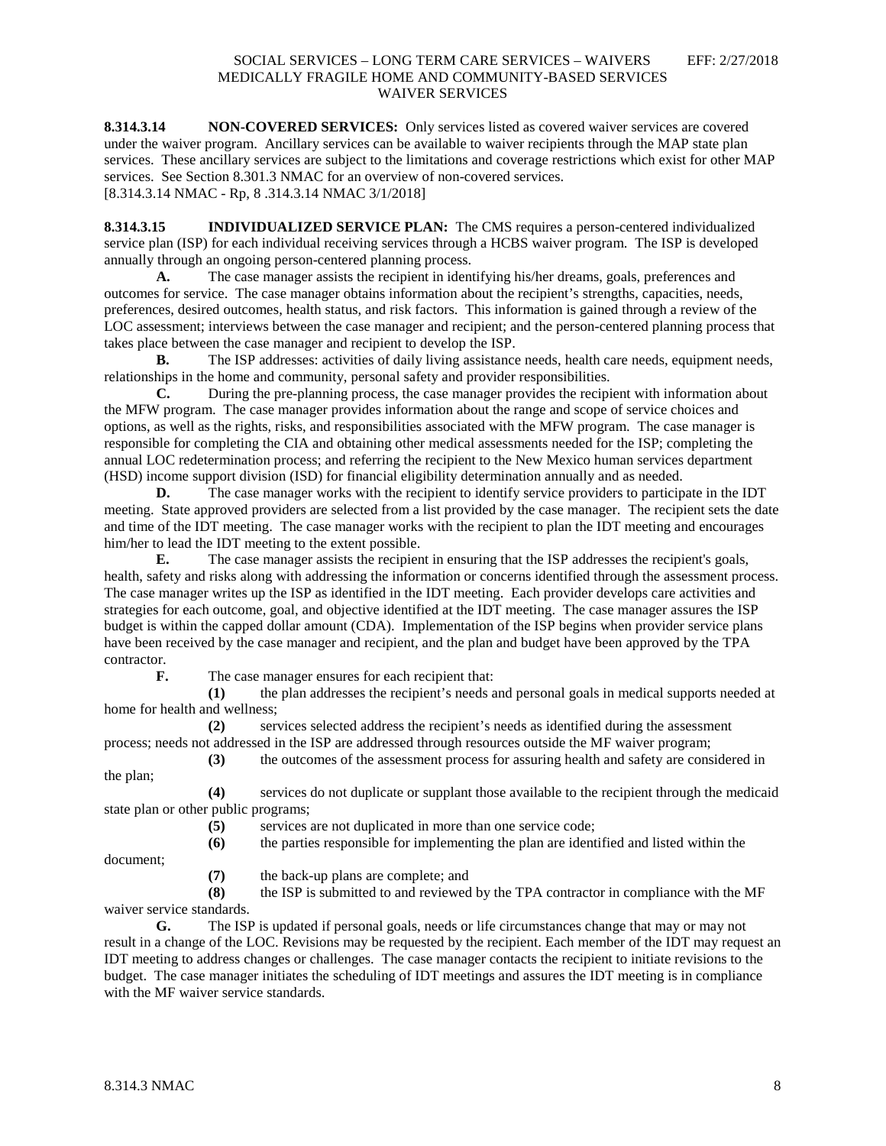**8.314.3.14 NON-COVERED SERVICES:** Only services listed as covered waiver services are covered under the waiver program. Ancillary services can be available to waiver recipients through the MAP state plan services. These ancillary services are subject to the limitations and coverage restrictions which exist for other MAP services. See Section 8.301.3 NMAC for an overview of non-covered services. [8.314.3.14 NMAC - Rp, 8 .314.3.14 NMAC 3/1/2018]

**8.314.3.15 INDIVIDUALIZED SERVICE PLAN:** The CMS requires a person-centered individualized service plan (ISP) for each individual receiving services through a HCBS waiver program. The ISP is developed annually through an ongoing person-centered planning process.

**A.** The case manager assists the recipient in identifying his/her dreams, goals, preferences and outcomes for service. The case manager obtains information about the recipient's strengths, capacities, needs, preferences, desired outcomes, health status, and risk factors. This information is gained through a review of the LOC assessment; interviews between the case manager and recipient; and the person-centered planning process that takes place between the case manager and recipient to develop the ISP.

**B.** The ISP addresses: activities of daily living assistance needs, health care needs, equipment needs, relationships in the home and community, personal safety and provider responsibilities.

**C.** During the pre-planning process, the case manager provides the recipient with information about the MFW program. The case manager provides information about the range and scope of service choices and options, as well as the rights, risks, and responsibilities associated with the MFW program. The case manager is responsible for completing the CIA and obtaining other medical assessments needed for the ISP; completing the annual LOC redetermination process; and referring the recipient to the New Mexico human services department (HSD) income support division (ISD) for financial eligibility determination annually and as needed.

**D.** The case manager works with the recipient to identify service providers to participate in the IDT meeting. State approved providers are selected from a list provided by the case manager. The recipient sets the date and time of the IDT meeting. The case manager works with the recipient to plan the IDT meeting and encourages him/her to lead the IDT meeting to the extent possible.

**E.** The case manager assists the recipient in ensuring that the ISP addresses the recipient's goals, health, safety and risks along with addressing the information or concerns identified through the assessment process. The case manager writes up the ISP as identified in the IDT meeting. Each provider develops care activities and strategies for each outcome, goal, and objective identified at the IDT meeting. The case manager assures the ISP budget is within the capped dollar amount (CDA). Implementation of the ISP begins when provider service plans have been received by the case manager and recipient, and the plan and budget have been approved by the TPA contractor.

**F.** The case manager ensures for each recipient that:

**(1)** the plan addresses the recipient's needs and personal goals in medical supports needed at home for health and wellness;

**(2)** services selected address the recipient's needs as identified during the assessment process; needs not addressed in the ISP are addressed through resources outside the MF waiver program;

**(3)** the outcomes of the assessment process for assuring health and safety are considered in the plan;

**(4)** services do not duplicate or supplant those available to the recipient through the medicaid state plan or other public programs;

**(5)** services are not duplicated in more than one service code;

**(6)** the parties responsible for implementing the plan are identified and listed within the

document;

**(7)** the back-up plans are complete; and

**(8)** the ISP is submitted to and reviewed by the TPA contractor in compliance with the MF waiver service standards.

**G.** The ISP is updated if personal goals, needs or life circumstances change that may or may not result in a change of the LOC. Revisions may be requested by the recipient. Each member of the IDT may request an IDT meeting to address changes or challenges. The case manager contacts the recipient to initiate revisions to the budget. The case manager initiates the scheduling of IDT meetings and assures the IDT meeting is in compliance with the MF waiver service standards.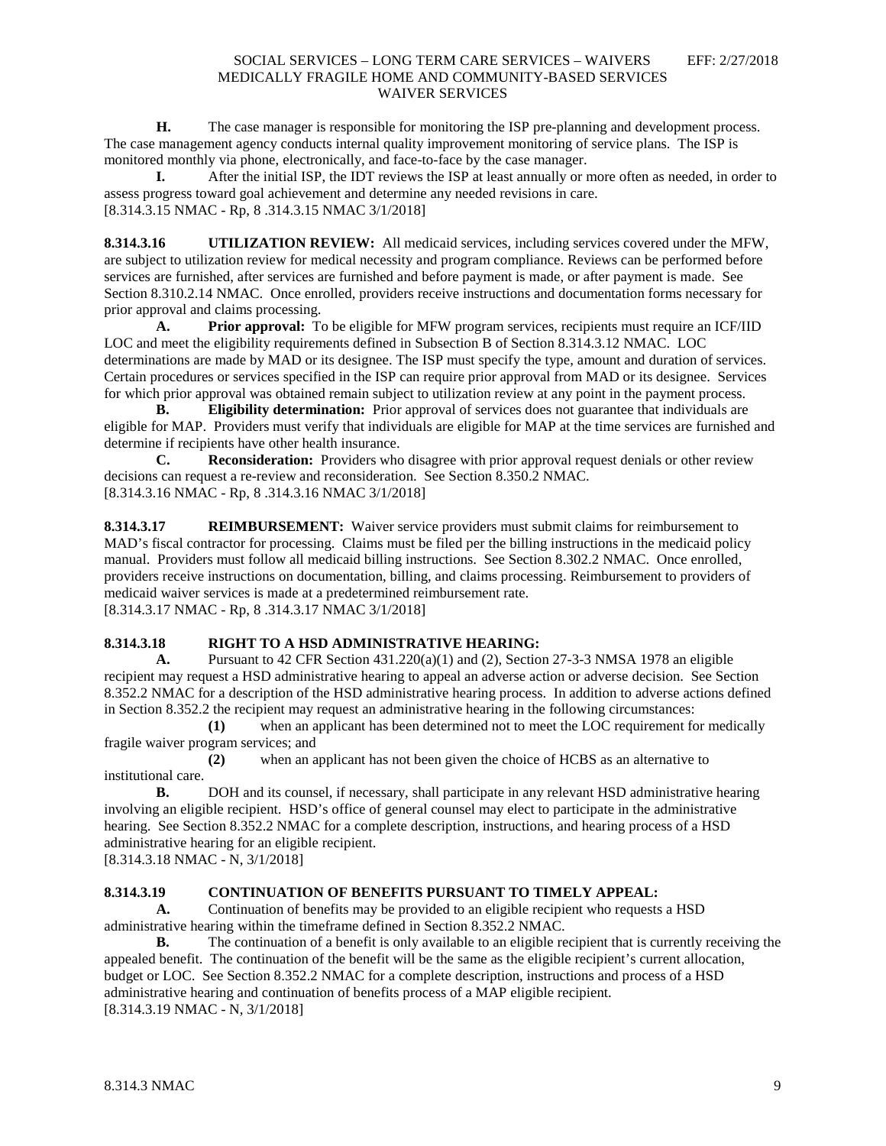**H.** The case manager is responsible for monitoring the ISP pre-planning and development process. The case management agency conducts internal quality improvement monitoring of service plans. The ISP is monitored monthly via phone, electronically, and face-to-face by the case manager.

**I.** After the initial ISP, the IDT reviews the ISP at least annually or more often as needed, in order to assess progress toward goal achievement and determine any needed revisions in care. [8.314.3.15 NMAC - Rp, 8 .314.3.15 NMAC 3/1/2018]

**8.314.3.16 UTILIZATION REVIEW:** All medicaid services, including services covered under the MFW, are subject to utilization review for medical necessity and program compliance. Reviews can be performed before services are furnished, after services are furnished and before payment is made, or after payment is made. See Section 8.310.2.14 NMAC. Once enrolled, providers receive instructions and documentation forms necessary for prior approval and claims processing.<br>A. Prior approval: To

**Prior approval:** To be eligible for MFW program services, recipients must require an ICF/IID LOC and meet the eligibility requirements defined in Subsection B of Section 8.314.3.12 NMAC. LOC determinations are made by MAD or its designee. The ISP must specify the type, amount and duration of services. Certain procedures or services specified in the ISP can require prior approval from MAD or its designee. Services for which prior approval was obtained remain subject to utilization review at any point in the payment process.

**B. Eligibility determination:** Prior approval of services does not guarantee that individuals are eligible for MAP. Providers must verify that individuals are eligible for MAP at the time services are furnished and determine if recipients have other health insurance.

**C. Reconsideration:** Providers who disagree with prior approval request denials or other review decisions can request a re-review and reconsideration. See Section 8.350.2 NMAC. [8.314.3.16 NMAC - Rp, 8 .314.3.16 NMAC 3/1/2018]

**8.314.3.17 REIMBURSEMENT:** Waiver service providers must submit claims for reimbursement to MAD's fiscal contractor for processing. Claims must be filed per the billing instructions in the medicaid policy manual. Providers must follow all medicaid billing instructions. See Section 8.302.2 NMAC. Once enrolled, providers receive instructions on documentation, billing, and claims processing. Reimbursement to providers of medicaid waiver services is made at a predetermined reimbursement rate. [8.314.3.17 NMAC - Rp, 8 .314.3.17 NMAC 3/1/2018]

## **8.314.3.18 RIGHT TO A HSD ADMINISTRATIVE HEARING:**

**A.** Pursuant to 42 CFR Section 431.220(a)(1) and (2), Section 27-3-3 NMSA 1978 an eligible recipient may request a HSD administrative hearing to appeal an adverse action or adverse decision. See Section 8.352.2 NMAC for a description of the HSD administrative hearing process. In addition to adverse actions defined in Section 8.352.2 the recipient may request an administrative hearing in the following circumstances:

**(1)** when an applicant has been determined not to meet the LOC requirement for medically fragile waiver program services; and

**(2)** when an applicant has not been given the choice of HCBS as an alternative to institutional care.

**B.** DOH and its counsel, if necessary, shall participate in any relevant HSD administrative hearing involving an eligible recipient. HSD's office of general counsel may elect to participate in the administrative hearing. See Section 8.352.2 NMAC for a complete description, instructions, and hearing process of a HSD administrative hearing for an eligible recipient.

[8.314.3.18 NMAC - N, 3/1/2018]

## **8.314.3.19 CONTINUATION OF BENEFITS PURSUANT TO TIMELY APPEAL:**

**A.** Continuation of benefits may be provided to an eligible recipient who requests a HSD administrative hearing within the timeframe defined in Section 8.352.2 NMAC.

**B.** The continuation of a benefit is only available to an eligible recipient that is currently receiving the appealed benefit. The continuation of the benefit will be the same as the eligible recipient's current allocation, budget or LOC. See Section 8.352.2 NMAC for a complete description, instructions and process of a HSD administrative hearing and continuation of benefits process of a MAP eligible recipient. [8.314.3.19 NMAC - N, 3/1/2018]